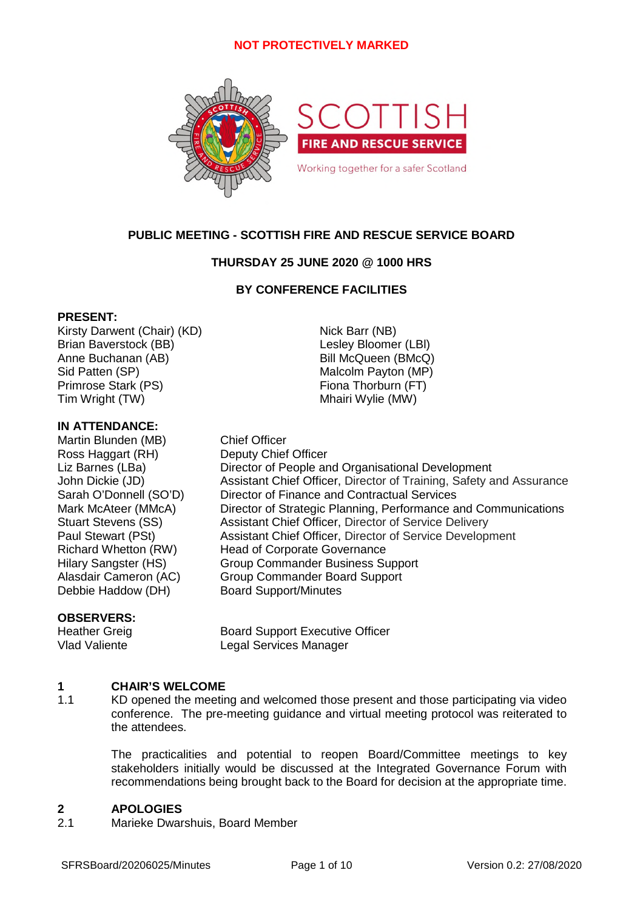

# **PUBLIC MEETING - SCOTTISH FIRE AND RESCUE SERVICE BOARD**

# **THURSDAY 25 JUNE 2020 @ 1000 HRS**

# **BY CONFERENCE FACILITIES**

# **PRESENT:**

Kirsty Darwent (Chair) (KD) Nick Barr (NB) Brian Baverstock (BB) Contract Contract Contract Lesley Bloomer (LBI) Anne Buchanan (AB) Bill McQueen (BMcQ) Sid Patten (SP) Malcolm Payton (MP) Primrose Stark (PS) Fiona Thorburn (FT) Tim Wright (TW) Tim Wright (TW)

# **IN ATTENDANCE:**

Martin Blunden (MB) Chief Officer Ross Haggart (RH) Deputy Chief Officer Liz Barnes (LBa) Director of People and Organisational Development John Dickie (JD) Assistant Chief Officer, Director of Training, Safety and Assurance Sarah O'Donnell (SO'D) Director of Finance and Contractual Services Mark McAteer (MMcA) Director of Strategic Planning, Performance and Communications Stuart Stevens (SS) Assistant Chief Officer, Director of Service Delivery Paul Stewart (PSt) Assistant Chief Officer, Director of Service Development Richard Whetton (RW) Head of Corporate Governance Hilary Sangster (HS) Group Commander Business Support Alasdair Cameron (AC) Group Commander Board Support Debbie Haddow (DH) Board Support/Minutes

# **OBSERVERS:**

Heather Greig **Board Support Executive Officer**<br>
Vlad Valiente **Board Services Manager** Legal Services Manager

#### **1 CHAIR'S WELCOME**

1.1 KD opened the meeting and welcomed those present and those participating via video conference. The pre-meeting guidance and virtual meeting protocol was reiterated to the attendees.

> The practicalities and potential to reopen Board/Committee meetings to key stakeholders initially would be discussed at the Integrated Governance Forum with recommendations being brought back to the Board for decision at the appropriate time.

#### **2 APOLOGIES**

2.1 Marieke Dwarshuis, Board Member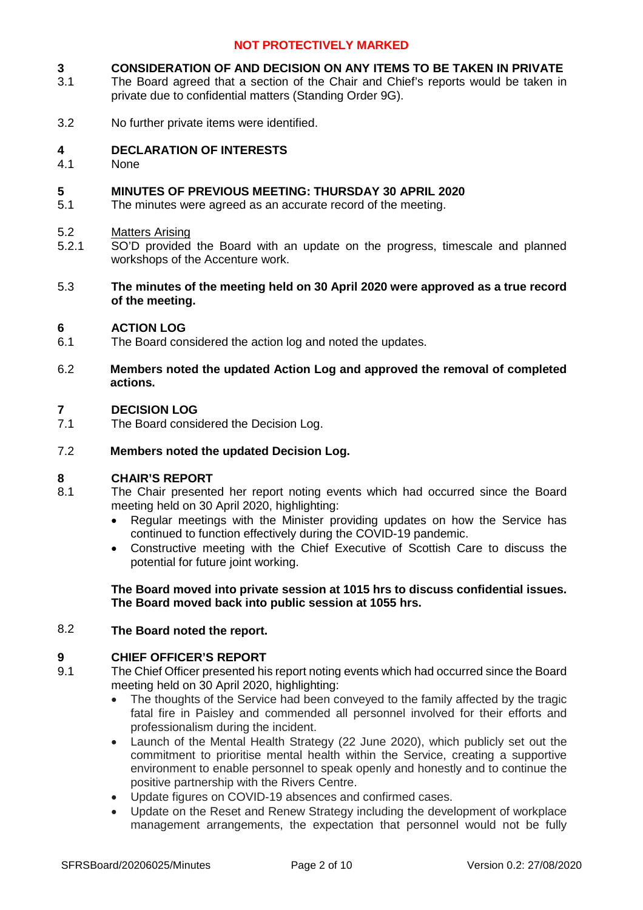#### **3 CONSIDERATION OF AND DECISION ON ANY ITEMS TO BE TAKEN IN PRIVATE**

- 3.1 The Board agreed that a section of the Chair and Chief's reports would be taken in private due to confidential matters (Standing Order 9G).
- 3.2 No further private items were identified.

#### **4 DECLARATION OF INTERESTS**

4.1 None

#### **5 MINUTES OF PREVIOUS MEETING: THURSDAY 30 APRIL 2020**

5.1 The minutes were agreed as an accurate record of the meeting.

#### 5.2 Matters Arising

- 5.2.1 SO'D provided the Board with an update on the progress, timescale and planned workshops of the Accenture work.
- 5.3 **The minutes of the meeting held on 30 April 2020 were approved as a true record of the meeting.**

#### **6 ACTION LOG**

- 6.1 The Board considered the action log and noted the updates.
- 6.2 **Members noted the updated Action Log and approved the removal of completed actions.**

#### **7 DECISION LOG**

7.1 The Board considered the Decision Log.

#### 7.2 **Members noted the updated Decision Log.**

### **8 CHAIR'S REPORT**

- 8.1 The Chair presented her report noting events which had occurred since the Board meeting held on 30 April 2020, highlighting:
	- Regular meetings with the Minister providing updates on how the Service has continued to function effectively during the COVID-19 pandemic.
	- Constructive meeting with the Chief Executive of Scottish Care to discuss the potential for future joint working.

# **The Board moved into private session at 1015 hrs to discuss confidential issues. The Board moved back into public session at 1055 hrs.**

#### 8.2 **The Board noted the report.**

# **9 CHIEF OFFICER'S REPORT**

- 9.1 The Chief Officer presented his report noting events which had occurred since the Board meeting held on 30 April 2020, highlighting:
	- The thoughts of the Service had been conveyed to the family affected by the tragic fatal fire in Paisley and commended all personnel involved for their efforts and professionalism during the incident.
	- Launch of the Mental Health Strategy (22 June 2020), which publicly set out the commitment to prioritise mental health within the Service, creating a supportive environment to enable personnel to speak openly and honestly and to continue the positive partnership with the Rivers Centre.
	- Update figures on COVID-19 absences and confirmed cases.
	- Update on the Reset and Renew Strategy including the development of workplace management arrangements, the expectation that personnel would not be fully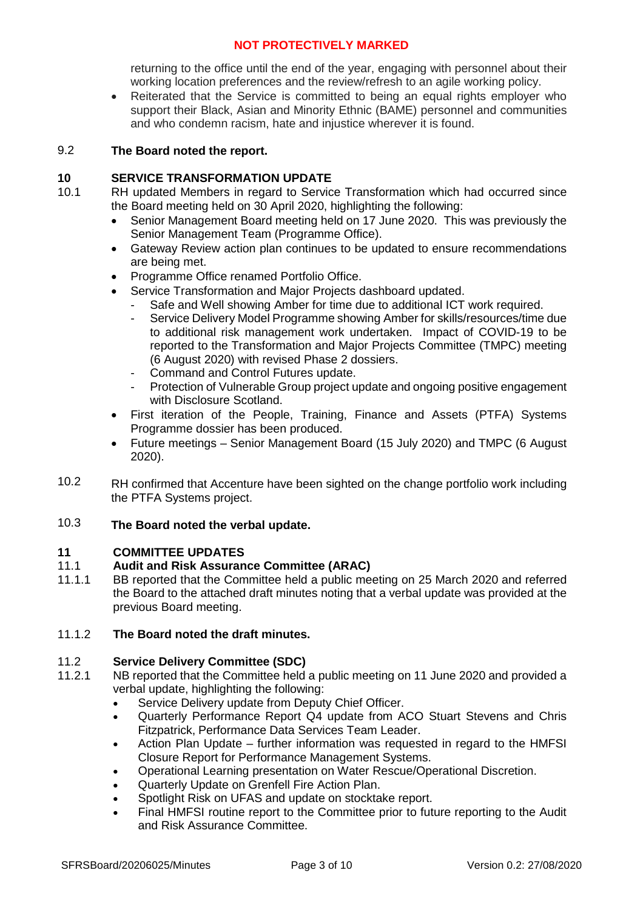returning to the office until the end of the year, engaging with personnel about their working location preferences and the review/refresh to an agile working policy.

 Reiterated that the Service is committed to being an equal rights employer who support their Black, Asian and Minority Ethnic (BAME) personnel and communities and who condemn racism, hate and injustice wherever it is found.

#### 9.2 **The Board noted the report.**

# **10 SERVICE TRANSFORMATION UPDATE**

- 10.1 RH updated Members in regard to Service Transformation which had occurred since the Board meeting held on 30 April 2020, highlighting the following:
	- Senior Management Board meeting held on 17 June 2020. This was previously the Senior Management Team (Programme Office).
	- Gateway Review action plan continues to be updated to ensure recommendations are being met.
	- Programme Office renamed Portfolio Office.
	- Service Transformation and Major Projects dashboard updated.
		- Safe and Well showing Amber for time due to additional ICT work required.
		- Service Delivery Model Programme showing Amber for skills/resources/time due to additional risk management work undertaken. Impact of COVID-19 to be reported to the Transformation and Major Projects Committee (TMPC) meeting (6 August 2020) with revised Phase 2 dossiers.
		- Command and Control Futures update.
		- Protection of Vulnerable Group project update and ongoing positive engagement with Disclosure Scotland.
	- First iteration of the People, Training, Finance and Assets (PTFA) Systems Programme dossier has been produced.
	- Future meetings Senior Management Board (15 July 2020) and TMPC (6 August 2020).
- 10.2 RH confirmed that Accenture have been sighted on the change portfolio work including the PTFA Systems project.

#### 10.3 **The Board noted the verbal update.**

# **11 COMMITTEE UPDATES**

#### 11.1 **Audit and Risk Assurance Committee (ARAC)**

11.1.1 BB reported that the Committee held a public meeting on 25 March 2020 and referred the Board to the attached draft minutes noting that a verbal update was provided at the previous Board meeting.

#### 11.1.2 **The Board noted the draft minutes.**

#### 11.2 **Service Delivery Committee (SDC)**

- 11.2.1 NB reported that the Committee held a public meeting on 11 June 2020 and provided a verbal update, highlighting the following:
	- Service Delivery update from Deputy Chief Officer.
	- Quarterly Performance Report Q4 update from ACO Stuart Stevens and Chris Fitzpatrick, Performance Data Services Team Leader.
	- Action Plan Update further information was requested in regard to the HMFSI Closure Report for Performance Management Systems.
	- Operational Learning presentation on Water Rescue/Operational Discretion.
	- Quarterly Update on Grenfell Fire Action Plan.
	- Spotlight Risk on UFAS and update on stocktake report.
	- Final HMFSI routine report to the Committee prior to future reporting to the Audit and Risk Assurance Committee.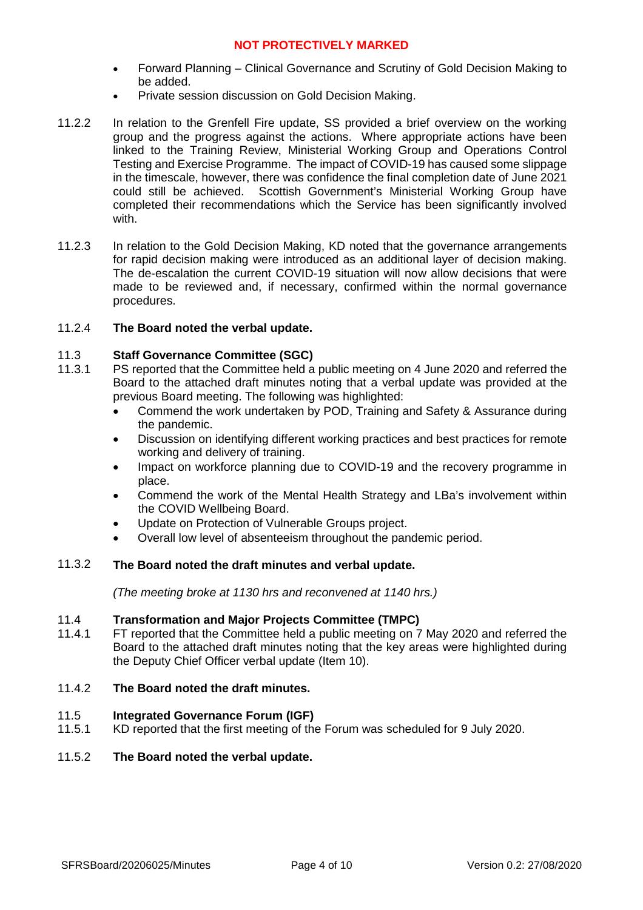- Forward Planning Clinical Governance and Scrutiny of Gold Decision Making to be added.
- Private session discussion on Gold Decision Making.
- 11.2.2 In relation to the Grenfell Fire update, SS provided a brief overview on the working group and the progress against the actions. Where appropriate actions have been linked to the Training Review, Ministerial Working Group and Operations Control Testing and Exercise Programme. The impact of COVID-19 has caused some slippage in the timescale, however, there was confidence the final completion date of June 2021 could still be achieved. Scottish Government's Ministerial Working Group have completed their recommendations which the Service has been significantly involved with.
- 11.2.3 In relation to the Gold Decision Making, KD noted that the governance arrangements for rapid decision making were introduced as an additional layer of decision making. The de-escalation the current COVID-19 situation will now allow decisions that were made to be reviewed and, if necessary, confirmed within the normal governance procedures.

#### 11.2.4 **The Board noted the verbal update.**

#### 11.3 **Staff Governance Committee (SGC)**

- 11.3.1 PS reported that the Committee held a public meeting on 4 June 2020 and referred the Board to the attached draft minutes noting that a verbal update was provided at the previous Board meeting. The following was highlighted:
	- Commend the work undertaken by POD, Training and Safety & Assurance during the pandemic.
	- Discussion on identifying different working practices and best practices for remote working and delivery of training.
	- Impact on workforce planning due to COVID-19 and the recovery programme in place.
	- Commend the work of the Mental Health Strategy and LBa's involvement within the COVID Wellbeing Board.
	- Update on Protection of Vulnerable Groups project.
	- Overall low level of absenteeism throughout the pandemic period.

#### 11.3.2 **The Board noted the draft minutes and verbal update.**

*(The meeting broke at 1130 hrs and reconvened at 1140 hrs.)*

#### 11.4 **Transformation and Major Projects Committee (TMPC)**

11.4.1 FT reported that the Committee held a public meeting on 7 May 2020 and referred the Board to the attached draft minutes noting that the key areas were highlighted during the Deputy Chief Officer verbal update (Item 10).

#### 11.4.2 **The Board noted the draft minutes.**

#### 11.5 **Integrated Governance Forum (IGF)**

11.5.1 KD reported that the first meeting of the Forum was scheduled for 9 July 2020.

#### 11.5.2 **The Board noted the verbal update.**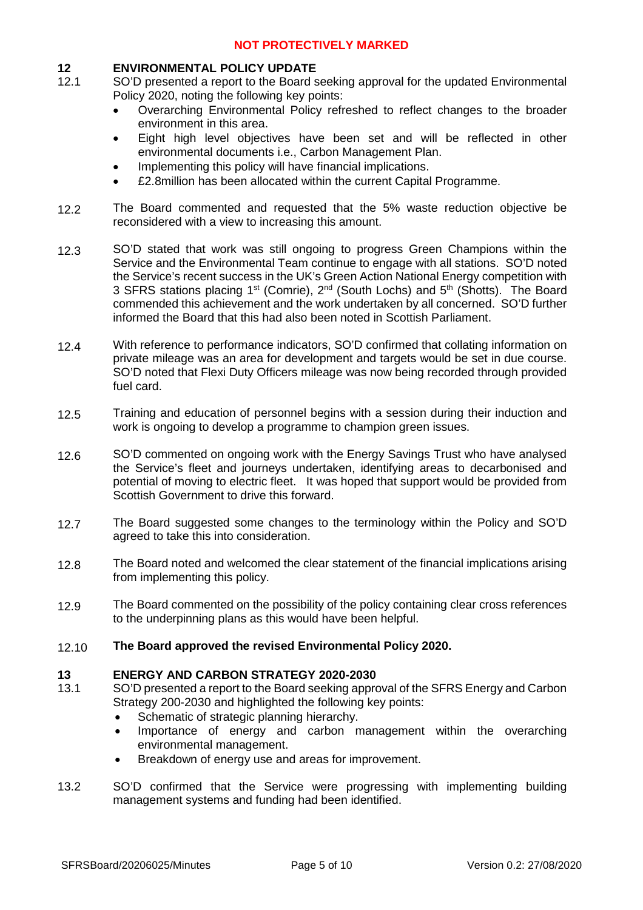# **12 ENVIRONMENTAL POLICY UPDATE**

- 12.1 SO'D presented a report to the Board seeking approval for the updated Environmental Policy 2020, noting the following key points:
	- Overarching Environmental Policy refreshed to reflect changes to the broader environment in this area.
	- Eight high level objectives have been set and will be reflected in other environmental documents i.e., Carbon Management Plan.
	- Implementing this policy will have financial implications.
	- £2.8million has been allocated within the current Capital Programme.
- 12.2 The Board commented and requested that the 5% waste reduction objective be reconsidered with a view to increasing this amount.
- 12.3 SO'D stated that work was still ongoing to progress Green Champions within the Service and the Environmental Team continue to engage with all stations. SO'D noted the Service's recent success in the UK's Green Action National Energy competition with 3 SFRS stations placing 1<sup>st</sup> (Comrie), 2<sup>nd</sup> (South Lochs) and 5<sup>th</sup> (Shotts). The Board commended this achievement and the work undertaken by all concerned. SO'D further informed the Board that this had also been noted in Scottish Parliament.
- 12.4 With reference to performance indicators, SO'D confirmed that collating information on private mileage was an area for development and targets would be set in due course. SO'D noted that Flexi Duty Officers mileage was now being recorded through provided fuel card.
- 12.5 Training and education of personnel begins with a session during their induction and work is ongoing to develop a programme to champion green issues.
- 12.6 SO'D commented on ongoing work with the Energy Savings Trust who have analysed the Service's fleet and journeys undertaken, identifying areas to decarbonised and potential of moving to electric fleet. It was hoped that support would be provided from Scottish Government to drive this forward.
- 12.7 The Board suggested some changes to the terminology within the Policy and SO'D agreed to take this into consideration.
- 12.8 The Board noted and welcomed the clear statement of the financial implications arising from implementing this policy.
- 12.9 The Board commented on the possibility of the policy containing clear cross references to the underpinning plans as this would have been helpful.
- 12.10 **The Board approved the revised Environmental Policy 2020.**

### **13 ENERGY AND CARBON STRATEGY 2020-2030**

- 13.1 SO'D presented a report to the Board seeking approval of the SFRS Energy and Carbon Strategy 200-2030 and highlighted the following key points:
	- Schematic of strategic planning hierarchy.
	- Importance of energy and carbon management within the overarching environmental management.
	- Breakdown of energy use and areas for improvement.
- 13.2 SO'D confirmed that the Service were progressing with implementing building management systems and funding had been identified.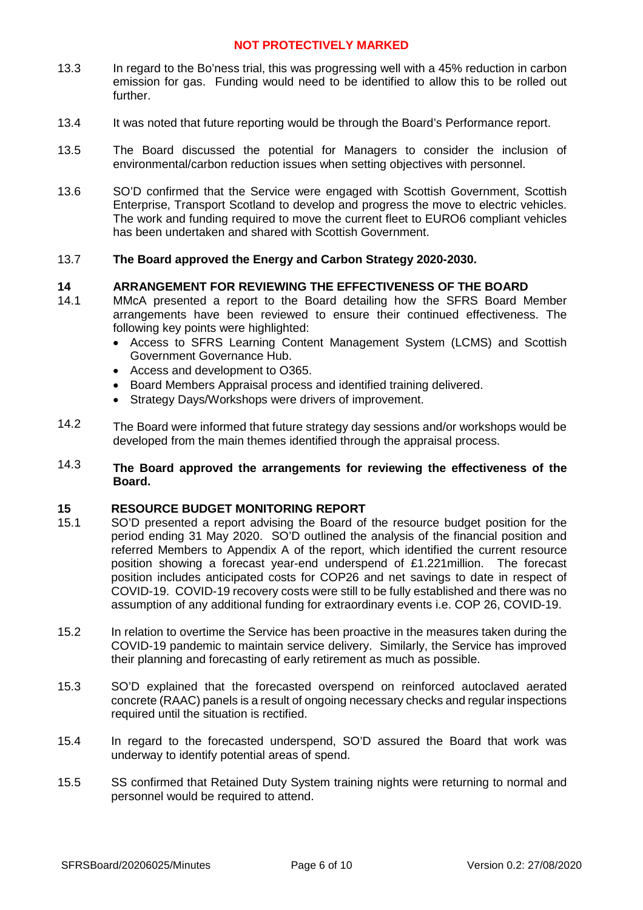- 13.3 In regard to the Bo'ness trial, this was progressing well with a 45% reduction in carbon emission for gas. Funding would need to be identified to allow this to be rolled out further.
- 13.4 It was noted that future reporting would be through the Board's Performance report.
- 13.5 The Board discussed the potential for Managers to consider the inclusion of environmental/carbon reduction issues when setting objectives with personnel.
- 13.6 SO'D confirmed that the Service were engaged with Scottish Government, Scottish Enterprise, Transport Scotland to develop and progress the move to electric vehicles. The work and funding required to move the current fleet to EURO6 compliant vehicles has been undertaken and shared with Scottish Government.

#### 13.7 **The Board approved the Energy and Carbon Strategy 2020-2030.**

### **14 ARRANGEMENT FOR REVIEWING THE EFFECTIVENESS OF THE BOARD**

- 14.1 MMcA presented a report to the Board detailing how the SFRS Board Member arrangements have been reviewed to ensure their continued effectiveness. The following key points were highlighted:
	- Access to SFRS Learning Content Management System (LCMS) and Scottish Government Governance Hub.
	- Access and development to O365.
	- Board Members Appraisal process and identified training delivered.
	- Strategy Days/Workshops were drivers of improvement.
- 14.2 The Board were informed that future strategy day sessions and/or workshops would be developed from the main themes identified through the appraisal process.

#### 14.3 **The Board approved the arrangements for reviewing the effectiveness of the Board.**

### **15 RESOURCE BUDGET MONITORING REPORT**

- 15.1 SO'D presented a report advising the Board of the resource budget position for the period ending 31 May 2020. SO'D outlined the analysis of the financial position and referred Members to Appendix A of the report, which identified the current resource position showing a forecast year-end underspend of £1.221million. The forecast position includes anticipated costs for COP26 and net savings to date in respect of COVID-19. COVID-19 recovery costs were still to be fully established and there was no assumption of any additional funding for extraordinary events i.e. COP 26, COVID-19.
- 15.2 In relation to overtime the Service has been proactive in the measures taken during the COVID-19 pandemic to maintain service delivery. Similarly, the Service has improved their planning and forecasting of early retirement as much as possible.
- 15.3 SO'D explained that the forecasted overspend on reinforced autoclaved aerated concrete (RAAC) panels is a result of ongoing necessary checks and regular inspections required until the situation is rectified.
- 15.4 In regard to the forecasted underspend, SO'D assured the Board that work was underway to identify potential areas of spend.
- 15.5 SS confirmed that Retained Duty System training nights were returning to normal and personnel would be required to attend.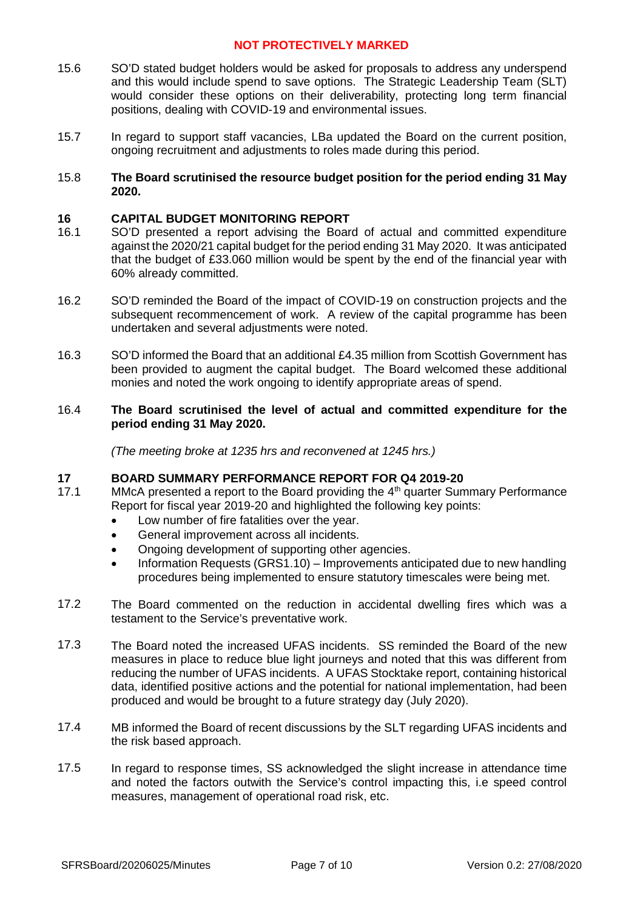- 15.6 SO'D stated budget holders would be asked for proposals to address any underspend and this would include spend to save options. The Strategic Leadership Team (SLT) would consider these options on their deliverability, protecting long term financial positions, dealing with COVID-19 and environmental issues.
- 15.7 In regard to support staff vacancies, LBa updated the Board on the current position, ongoing recruitment and adjustments to roles made during this period.
- 15.8 **The Board scrutinised the resource budget position for the period ending 31 May 2020.**

# **16 CAPITAL BUDGET MONITORING REPORT**

- 16.1 SO'D presented a report advising the Board of actual and committed expenditure against the 2020/21 capital budget for the period ending 31 May 2020. It was anticipated that the budget of £33.060 million would be spent by the end of the financial year with 60% already committed.
- 16.2 SO'D reminded the Board of the impact of COVID-19 on construction projects and the subsequent recommencement of work. A review of the capital programme has been undertaken and several adjustments were noted.
- 16.3 SO'D informed the Board that an additional £4.35 million from Scottish Government has been provided to augment the capital budget. The Board welcomed these additional monies and noted the work ongoing to identify appropriate areas of spend.

#### 16.4 **The Board scrutinised the level of actual and committed expenditure for the period ending 31 May 2020.**

*(The meeting broke at 1235 hrs and reconvened at 1245 hrs.)*

### **17 BOARD SUMMARY PERFORMANCE REPORT FOR Q4 2019-20**

- 17.1 MMcA presented a report to the Board providing the 4<sup>th</sup> quarter Summary Performance Report for fiscal year 2019-20 and highlighted the following key points:
	- Low number of fire fatalities over the year.
	- General improvement across all incidents.
	- Ongoing development of supporting other agencies.
	- Information Requests (GRS1.10) Improvements anticipated due to new handling procedures being implemented to ensure statutory timescales were being met.
- 17.2 The Board commented on the reduction in accidental dwelling fires which was a testament to the Service's preventative work.
- 17.3 The Board noted the increased UFAS incidents. SS reminded the Board of the new measures in place to reduce blue light journeys and noted that this was different from reducing the number of UFAS incidents. A UFAS Stocktake report, containing historical data, identified positive actions and the potential for national implementation, had been produced and would be brought to a future strategy day (July 2020).
- 17.4 MB informed the Board of recent discussions by the SLT regarding UFAS incidents and the risk based approach.
- 17.5 In regard to response times, SS acknowledged the slight increase in attendance time and noted the factors outwith the Service's control impacting this, i.e speed control measures, management of operational road risk, etc.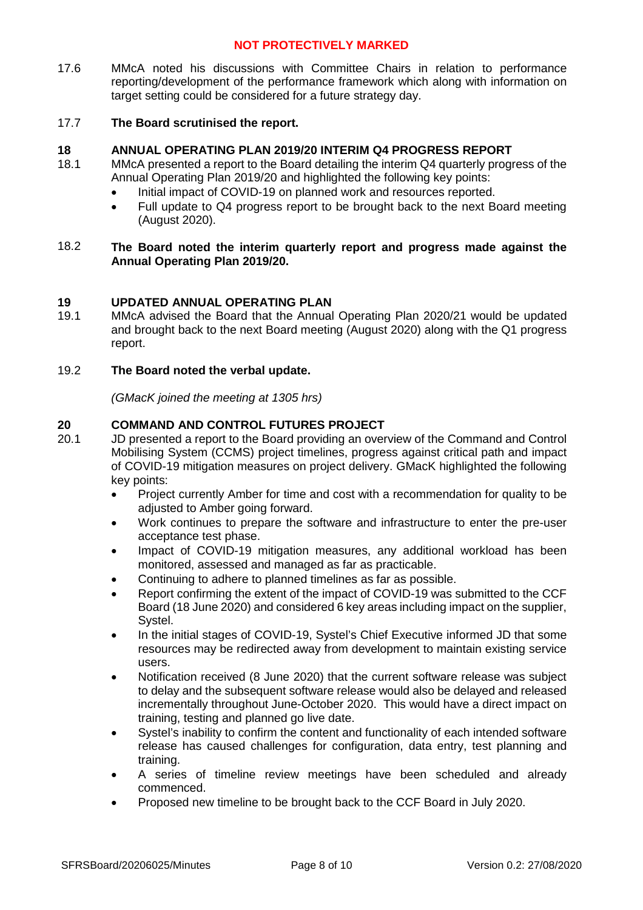17.6 MMcA noted his discussions with Committee Chairs in relation to performance reporting/development of the performance framework which along with information on target setting could be considered for a future strategy day.

#### 17.7 **The Board scrutinised the report.**

# **18 ANNUAL OPERATING PLAN 2019/20 INTERIM Q4 PROGRESS REPORT**

- 18.1 MMcA presented a report to the Board detailing the interim Q4 quarterly progress of the Annual Operating Plan 2019/20 and highlighted the following key points:
	- Initial impact of COVID-19 on planned work and resources reported.
	- Full update to Q4 progress report to be brought back to the next Board meeting (August 2020).

#### 18.2 **The Board noted the interim quarterly report and progress made against the Annual Operating Plan 2019/20.**

# **19 UPDATED ANNUAL OPERATING PLAN**

19.1 MMcA advised the Board that the Annual Operating Plan 2020/21 would be updated and brought back to the next Board meeting (August 2020) along with the Q1 progress report.

#### 19.2 **The Board noted the verbal update.**

*(GMacK joined the meeting at 1305 hrs)*

# **20 COMMAND AND CONTROL FUTURES PROJECT**

- 20.1 JD presented a report to the Board providing an overview of the Command and Control Mobilising System (CCMS) project timelines, progress against critical path and impact of COVID-19 mitigation measures on project delivery. GMacK highlighted the following key points:
	- Project currently Amber for time and cost with a recommendation for quality to be adjusted to Amber going forward.
	- Work continues to prepare the software and infrastructure to enter the pre-user acceptance test phase.
	- Impact of COVID-19 mitigation measures, any additional workload has been monitored, assessed and managed as far as practicable.
	- Continuing to adhere to planned timelines as far as possible.
	- Report confirming the extent of the impact of COVID-19 was submitted to the CCF Board (18 June 2020) and considered 6 key areas including impact on the supplier, Systel.
	- In the initial stages of COVID-19, Systel's Chief Executive informed JD that some resources may be redirected away from development to maintain existing service users.
	- Notification received (8 June 2020) that the current software release was subject to delay and the subsequent software release would also be delayed and released incrementally throughout June-October 2020. This would have a direct impact on training, testing and planned go live date.
	- Systel's inability to confirm the content and functionality of each intended software release has caused challenges for configuration, data entry, test planning and training.
	- A series of timeline review meetings have been scheduled and already commenced.
	- Proposed new timeline to be brought back to the CCF Board in July 2020.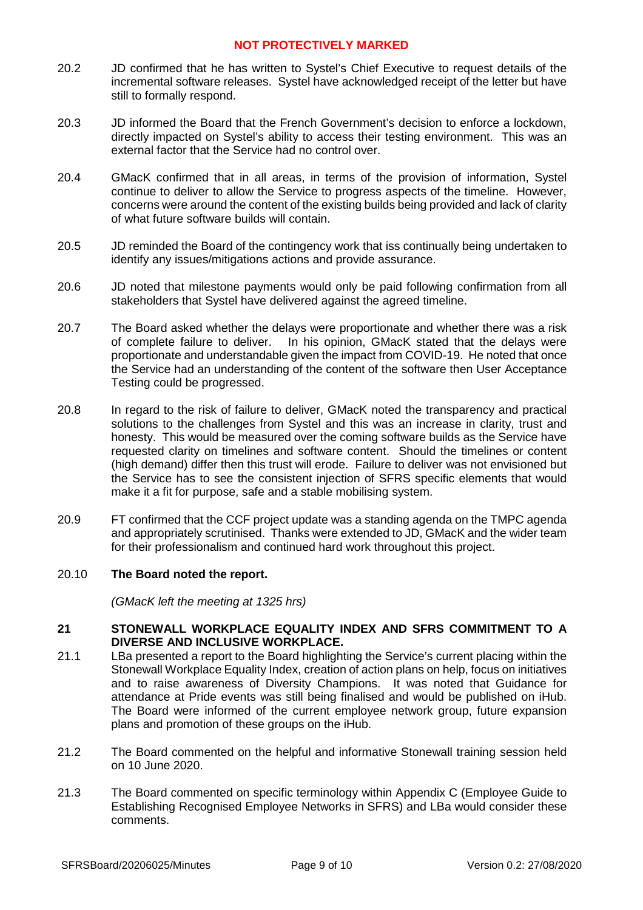- 20.2 JD confirmed that he has written to Systel's Chief Executive to request details of the incremental software releases. Systel have acknowledged receipt of the letter but have still to formally respond.
- 20.3 JD informed the Board that the French Government's decision to enforce a lockdown, directly impacted on Systel's ability to access their testing environment. This was an external factor that the Service had no control over.
- 20.4 GMacK confirmed that in all areas, in terms of the provision of information, Systel continue to deliver to allow the Service to progress aspects of the timeline. However, concerns were around the content of the existing builds being provided and lack of clarity of what future software builds will contain.
- 20.5 JD reminded the Board of the contingency work that iss continually being undertaken to identify any issues/mitigations actions and provide assurance.
- 20.6 JD noted that milestone payments would only be paid following confirmation from all stakeholders that Systel have delivered against the agreed timeline.
- 20.7 The Board asked whether the delays were proportionate and whether there was a risk of complete failure to deliver. In his opinion, GMacK stated that the delays were proportionate and understandable given the impact from COVID-19. He noted that once the Service had an understanding of the content of the software then User Acceptance Testing could be progressed.
- 20.8 In regard to the risk of failure to deliver, GMacK noted the transparency and practical solutions to the challenges from Systel and this was an increase in clarity, trust and honesty. This would be measured over the coming software builds as the Service have requested clarity on timelines and software content. Should the timelines or content (high demand) differ then this trust will erode. Failure to deliver was not envisioned but the Service has to see the consistent injection of SFRS specific elements that would make it a fit for purpose, safe and a stable mobilising system.
- 20.9 FT confirmed that the CCF project update was a standing agenda on the TMPC agenda and appropriately scrutinised. Thanks were extended to JD, GMacK and the wider team for their professionalism and continued hard work throughout this project.

#### 20.10 **The Board noted the report.**

*(GMacK left the meeting at 1325 hrs)*

### **21 STONEWALL WORKPLACE EQUALITY INDEX AND SFRS COMMITMENT TO A DIVERSE AND INCLUSIVE WORKPLACE.**

- 21.1 LBa presented a report to the Board highlighting the Service's current placing within the Stonewall Workplace Equality Index, creation of action plans on help, focus on initiatives and to raise awareness of Diversity Champions. It was noted that Guidance for attendance at Pride events was still being finalised and would be published on iHub. The Board were informed of the current employee network group, future expansion plans and promotion of these groups on the iHub.
- 21.2 The Board commented on the helpful and informative Stonewall training session held on 10 June 2020.
- 21.3 The Board commented on specific terminology within Appendix C (Employee Guide to Establishing Recognised Employee Networks in SFRS) and LBa would consider these comments.